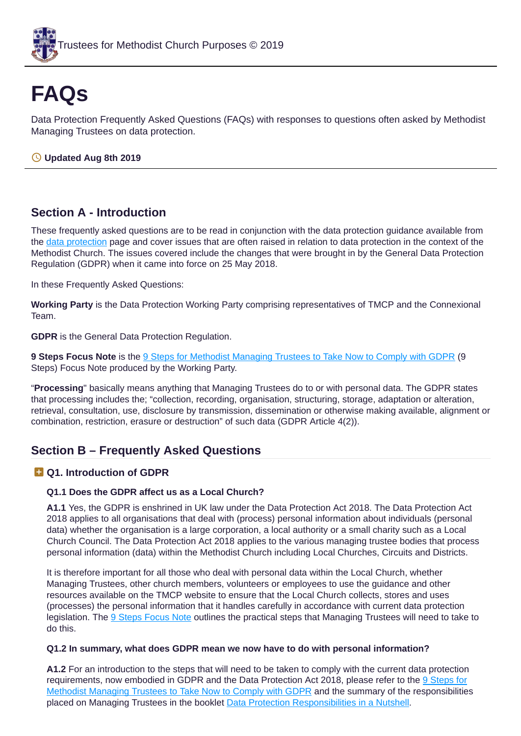

# **FAQs**

Data Protection Frequently Asked Questions (FAQs) with responses to questions often asked by Methodist Managing Trustees on data protection.

## **Updated Aug 8th 2019**

# **Section A - Introduction**

These frequently asked questions are to be read in conjunction with the data protection guidance available from the data [protection](https://www.tmcp.org.uk/about/data-protection) page and cover issues that are often raised in relation to data protection in the context of the Methodist Church. The issues covered include the changes that were brought in by the General Data Protection Regulation (GDPR) when it came into force on 25 May 2018.

In these Frequently Asked Questions:

**Working Party** is the Data Protection Working Party comprising representatives of TMCP and the Connexional Team.

**GDPR** is the General Data Protection Regulation.

**9 Steps Focus Note** is the 9 Steps for Methodist [Managing](https://www.tmcp.org.uk/about/data-protection/resources/guidenotes/9-steps-gdpr) Trustees to Take Now to Comply with GDPR (9 Steps) Focus Note produced by the Working Party.

"**Processing**" basically means anything that Managing Trustees do to or with personal data. The GDPR states that processing includes the; "collection, recording, organisation, structuring, storage, adaptation or alteration, retrieval, consultation, use, disclosure by transmission, dissemination or otherwise making available, alignment or combination, restriction, erasure or destruction" of such data (GDPR Article 4(2)).

# **Section B – Frequently Asked Questions**

## **Q1. Introduction of GDPR**

## **Q1.1 Does the GDPR affect us as a Local Church?**

**A1.1** Yes, the GDPR is enshrined in UK law under the Data Protection Act 2018. The Data Protection Act 2018 applies to all organisations that deal with (process) personal information about individuals (personal data) whether the organisation is a large corporation, a local authority or a small charity such as a Local Church Council. The Data Protection Act 2018 applies to the various managing trustee bodies that process personal information (data) within the Methodist Church including Local Churches, Circuits and Districts.

It is therefore important for all those who deal with personal data within the Local Church, whether Managing Trustees, other church members, volunteers or employees to use the guidance and other resources available on the TMCP website to ensure that the Local Church collects, stores and uses (processes) the personal information that it handles carefully in accordance with current data protection legislation. The 9 Steps [Focus](https://www.tmcp.org.uk/about/data-protection/resources/guidenotes/9-steps-gdpr) Note outlines the practical steps that Managing Trustees will need to take to do this.

#### <span id="page-0-0"></span>**Q1.2 In summary, what does GDPR mean we now have to do with personal information?**

**A1.2** For an introduction to the steps that will need to be taken to comply with the current data protection [requirements,](https://www.tmcp.org.uk/about/data-protection/resources/guidenotes/9-steps-gdpr) now embodied in GDPR and the Data Protection Act 2018, please refer to the 9 Steps for Methodist Managing Trustees to Take Now to Comply with GDPR and the summary of the responsibilities placed on Managing Trustees in the booklet Data Protection [Responsibilities](https://www.tmcp.org.uk/kcfinder-uploads/files/data-protection-in-a-nutshell.pdf) in a Nutshell.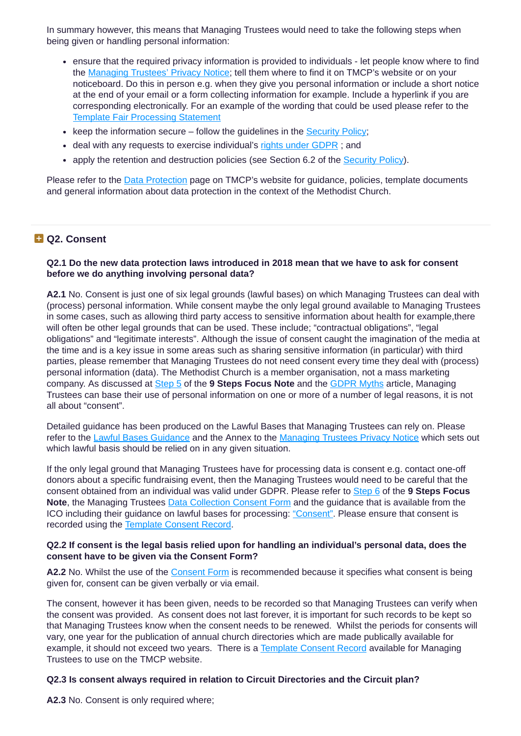In summary however, this means that Managing Trustees would need to take the following steps when being given or handling personal information:

- ensure that the required privacy information is provided to individuals let people know where to find the [Managing](https://www.tmcp.org.uk/about/data-protection/managing-trustees-privacy-notice) Trustees' Privacy Notice; tell them where to find it on TMCP's website or on your noticeboard. Do this in person e.g. when they give you personal information or include a short notice at the end of your email or a form collecting information for example. Include a hyperlink if you are corresponding electronically. For an example of the wording that could be used please refer to the Template Fair [Processing](https://www.tmcp.org.uk/about/data-protection/resources/template-clauses/fair-processing-statement) Statement
- $\bullet$  keep the information secure follow the quidelines in the [Security](https://www.tmcp.org.uk/about/data-protection/resources/trustee-documents) Policy;
- deal with any requests to exercise individual's rights under [GDPR](https://www.tmcp.org.uk/about/data-protection/resources/guidenotes/gdpr#c); and
- apply the retention and destruction policies (see Section 6.2 of the [Security](https://www.tmcp.org.uk/about/data-protection/resources/trustee-documents) Policy).

Please refer to the Data [Protection](https://www.tmcp.org.uk/about/data-protection) page on TMCP's website for guidance, policies, template documents and general information about data protection in the context of the Methodist Church.

## **Q2. Consent**

#### <span id="page-1-1"></span>**Q2.1 Do the new data protection laws introduced in 2018 mean that we have to ask for consent before we do anything involving personal data?**

**A2.1** No. Consent is just one of six legal grounds (lawful bases) on which Managing Trustees can deal with (process) personal information. While consent maybe the only legal ground available to Managing Trustees in some cases, such as allowing third party access to sensitive information about health for example,there will often be other legal grounds that can be used. These include; "contractual obligations", "legal obligations" and "legitimate interests". Although the issue of consent caught the imagination of the media at the time and is a key issue in some areas such as sharing sensitive information (in particular) with third parties, please remember that Managing Trustees do not need consent every time they deal with (process) personal information (data). The Methodist Church is a member organisation, not a mass marketing company. As discussed at [Step](https://www.tmcp.org.uk/about/data-protection/resources/guidenotes/9-steps-gdpr#5) 5 of the **9 Steps Focus Note** and the [GDPR](https://www.tmcp.org.uk/news-hub/gdpr-myths) Myths article, Managing Trustees can base their use of personal information on one or more of a number of legal reasons, it is not all about "consent".

Detailed guidance has been produced on the Lawful Bases that Managing Trustees can rely on. Please refer to the **Lawful Bases [Guidance](https://www.tmcp.org.uk/about/data-protection/resources/guidenotes/lawful-bases-guidance)** and the Annex to the [Managing](https://www.tmcp.org.uk/about/data-protection/managing-trustees-privacy-notice) Trustees Privacy Notice which sets out which lawful basis should be relied on in any given situation.

If the only legal ground that Managing Trustees have for processing data is consent e.g. contact one-off donors about a specific fundraising event, then the Managing Trustees would need to be careful that the consent obtained from an individual was valid under GDPR. Please refer to [Step](https://www.tmcp.org.uk/about/data-protection/resources/guidenotes/9-steps-gdpr#6) 6 of the **9 Steps Focus Note**, the Managing Trustees Data [Collection](https://www.tmcp.org.uk/about/data-protection/resources/standard-documents-and-forms/consent-form) Consent Form and the guidance that is available from the ICO including their guidance on lawful bases for processing: ["Consent"](https://ico.org.uk/for-organisations/guide-to-the-general-data-protection-regulation-gdpr/lawful-basis-for-processing/consent/). Please ensure that consent is recorded using the [Template](https://www.tmcp.org.uk/about/data-protection/resources/standard-documents-and-forms/consent-record) Consent Record.

#### <span id="page-1-0"></span>**Q2.2 If consent is the legal basis relied upon for handling an individual's personal data, does the consent have to be given via the Consent Form?**

**A2.2** No. Whilst the use of the [Consent](https://www.tmcp.org.uk/about/data-protection/resources/standard-documents-and-forms/consent-form) Form is recommended because it specifies what consent is being given for, consent can be given verbally or via email.

The consent, however it has been given, needs to be recorded so that Managing Trustees can verify when the consent was provided. As consent does not last forever, it is important for such records to be kept so that Managing Trustees know when the consent needs to be renewed. Whilst the periods for consents will vary, one year for the publication of annual church directories which are made publically available for example, it should not exceed two years. There is a [Template](https://www.tmcp.org.uk/about/data-protection/resources/standard-documents-and-forms/consent-record) Consent Record available for Managing Trustees to use on the TMCP website.

#### **Q2.3 Is consent always required in relation to Circuit Directories and the Circuit plan?**

**A2.3** No. Consent is only required where;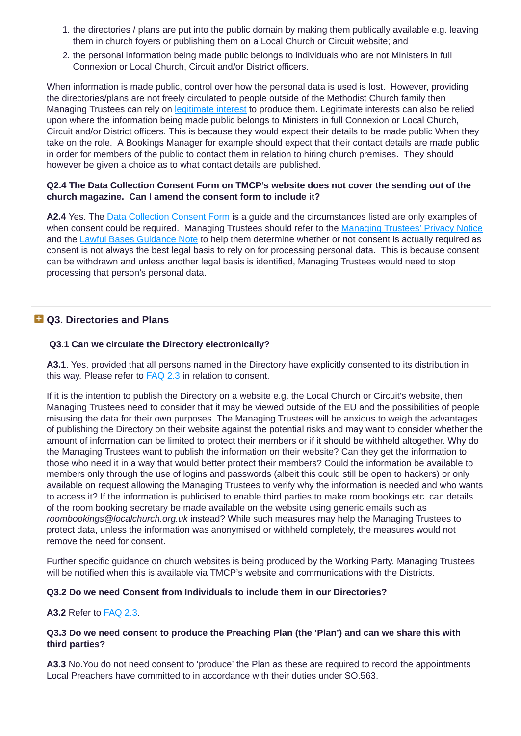- 1. the directories / plans are put into the public domain by making them publically available e.g. leaving them in church foyers or publishing them on a Local Church or Circuit website; and
- 2. the personal information being made public belongs to individuals who are not Ministers in full Connexion or Local Church, Circuit and/or District officers.

When information is made public, control over how the personal data is used is lost. However, providing the directories/plans are not freely circulated to people outside of the Methodist Church family then Managing Trustees can rely on [legitimate](https://www.tmcp.org.uk/about/data-protection/resources/guidenotes/lawful-bases-guidance#fs3) interest to produce them. Legitimate interests can also be relied upon where the information being made public belongs to Ministers in full Connexion or Local Church, Circuit and/or District officers. This is because they would expect their details to be made public When they take on the role. A Bookings Manager for example should expect that their contact details are made public in order for members of the public to contact them in relation to hiring church premises. They should however be given a choice as to what contact details are published.

### **Q2.4 The Data Collection Consent Form on TMCP's website does not cover the sending out of the church magazine. Can I amend the consent form to include it?**

**A2.4** Yes. The Data [Collection](https://www.tmcp.org.uk/about/data-protection/resources/standard-documents-and-forms/consent-form) Consent Form is a guide and the circumstances listed are only examples of when consent could be required. [Managing](https://www.tmcp.org.uk/about/data-protection/managing-trustees-privacy-notice) Trustees should refer to the Managing Trustees' Privacy Notice and the Lawful Bases [Guidance](https://www.tmcp.org.uk/about/data-protection/resources/guidenotes/lawful-bases-guidance) Note to help them determine whether or not consent is actually required as consent is not always the best legal basis to rely on for processing personal data. This is because consent can be withdrawn and unless another legal basis is identified, Managing Trustees would need to stop processing that person's personal data.

# **Q3. Directories and Plans**

## **Q3.1 Can we circulate the Directory electronically?**

**A3.1**. Yes, provided that all persons named in the Directory have explicitly consented to its distribution in this way. Please refer to [FAQ](#page-1-0) 2.3 in relation to consent.

If it is the intention to publish the Directory on a website e.g. the Local Church or Circuit's website, then Managing Trustees need to consider that it may be viewed outside of the EU and the possibilities of people misusing the data for their own purposes. The Managing Trustees will be anxious to weigh the advantages of publishing the Directory on their website against the potential risks and may want to consider whether the amount of information can be limited to protect their members or if it should be withheld altogether. Why do the Managing Trustees want to publish the information on their website? Can they get the information to those who need it in a way that would better protect their members? Could the information be available to members only through the use of logins and passwords (albeit this could still be open to hackers) or only available on request allowing the Managing Trustees to verify why the information is needed and who wants to access it? If the information is publicised to enable third parties to make room bookings etc. can details of the room booking secretary be made available on the website using generic emails such as *roombookings@localchurch.org.uk* instead? While such measures may help the Managing Trustees to protect data, unless the information was anonymised or withheld completely, the measures would not remove the need for consent.

Further specific guidance on church websites is being produced by the Working Party. Managing Trustees will be notified when this is available via TMCP's website and communications with the Districts.

## **Q3.2 Do we need Consent from Individuals to include them in our Directories?**

## **A3.2** Refer to [FAQ](#page-1-0) 2.3.

#### **Q3.3 Do we need consent to produce the Preaching Plan (the 'Plan') and can we share this with third parties?**

**A3.3** No.You do not need consent to 'produce' the Plan as these are required to record the appointments Local Preachers have committed to in accordance with their duties under SO.563.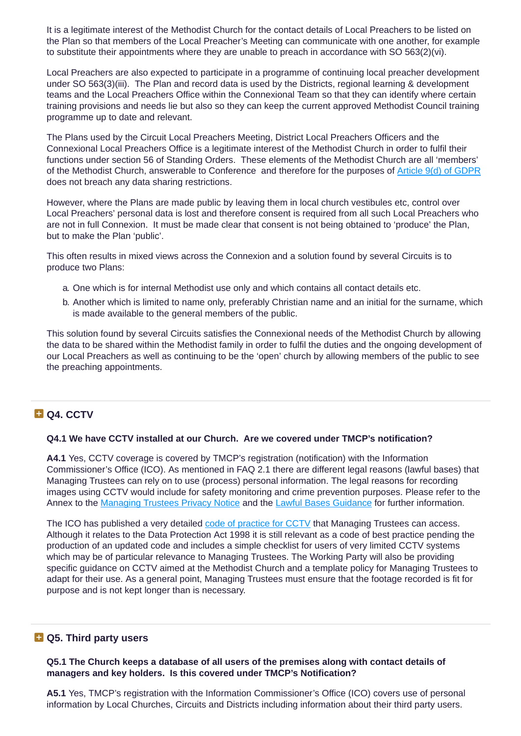It is a legitimate interest of the Methodist Church for the contact details of Local Preachers to be listed on the Plan so that members of the Local Preacher's Meeting can communicate with one another, for example to substitute their appointments where they are unable to preach in accordance with SO 563(2)(vi).

Local Preachers are also expected to participate in a programme of continuing local preacher development under SO 563(3)(iii). The Plan and record data is used by the Districts, regional learning & development teams and the Local Preachers Office within the Connexional Team so that they can identify where certain training provisions and needs lie but also so they can keep the current approved Methodist Council training programme up to date and relevant.

The Plans used by the Circuit Local Preachers Meeting, District Local Preachers Officers and the Connexional Local Preachers Office is a legitimate interest of the Methodist Church in order to fulfil their functions under section 56 of Standing Orders. These elements of the Methodist Church are all 'members' of the Methodist Church, answerable to Conference and therefore for the purposes of Article 9(d) of [GDPR](https://gdpr-info.eu/art-9-gdpr/) does not breach any data sharing restrictions.

However, where the Plans are made public by leaving them in local church vestibules etc, control over Local Preachers' personal data is lost and therefore consent is required from all such Local Preachers who are not in full Connexion. It must be made clear that consent is not being obtained to 'produce' the Plan, but to make the Plan 'public'.

This often results in mixed views across the Connexion and a solution found by several Circuits is to produce two Plans:

- a. One which is for internal Methodist use only and which contains all contact details etc.
- b. Another which is limited to name only, preferably Christian name and an initial for the surname, which is made available to the general members of the public.

This solution found by several Circuits satisfies the Connexional needs of the Methodist Church by allowing the data to be shared within the Methodist family in order to fulfil the duties and the ongoing development of our Local Preachers as well as continuing to be the 'open' church by allowing members of the public to see the preaching appointments.

# **D** Q4. CCTV

#### **Q4.1 We have CCTV installed at our Church. Are we covered under TMCP's notification?**

**A4.1** Yes, CCTV coverage is covered by TMCP's registration (notification) with the Information Commissioner's Office (ICO). As mentioned in FAQ 2.1 there are different legal reasons (lawful bases) that Managing Trustees can rely on to use (process) personal information. The legal reasons for recording images using CCTV would include for safety monitoring and crime prevention purposes. Please refer to the Annex to the [Managing](https://www.tmcp.org.uk/about/data-protection/managing-trustees-privacy-notice) Trustees Privacy Notice and the Lawful Bases [Guidance](https://www.tmcp.org.uk/about/data-protection/resources/guidenotes/lawful-bases-guidance) for further information.

The ICO has published a very detailed code of [practice](https://ico.org.uk/media/for-organisations/documents/1542/cctv-code-of-practice.pdf) for CCTV that Managing Trustees can access. Although it relates to the Data Protection Act 1998 it is still relevant as a code of best practice pending the production of an updated code and includes a simple checklist for users of very limited CCTV systems which may be of particular relevance to Managing Trustees. The Working Party will also be providing specific guidance on CCTV aimed at the Methodist Church and a template policy for Managing Trustees to adapt for their use. As a general point, Managing Trustees must ensure that the footage recorded is fit for purpose and is not kept longer than is necessary.

# **Q5. Third party users**

**Q5.1 The Church keeps a database of all users of the premises along with contact details of managers and key holders. Is this covered under TMCP's Notification?**

**A5.1** Yes, TMCP's registration with the Information Commissioner's Office (ICO) covers use of personal information by Local Churches, Circuits and Districts including information about their third party users.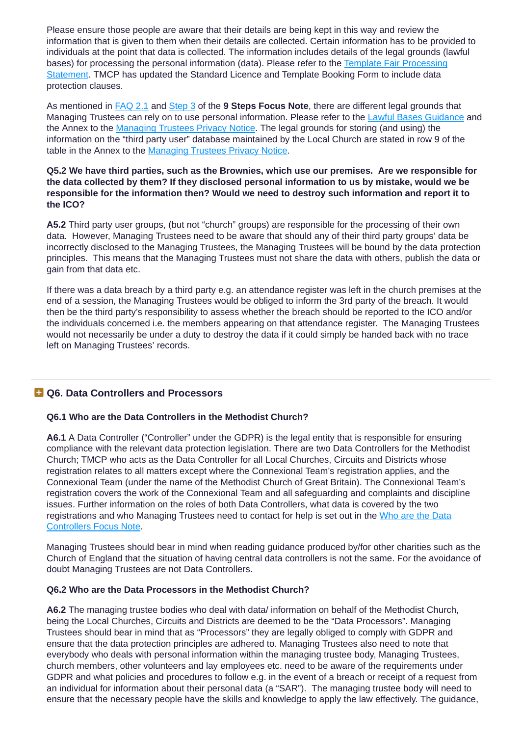Please ensure those people are aware that their details are being kept in this way and review the information that is given to them when their details are collected. Certain information has to be provided to individuals at the point that data is collected. The information includes details of the legal grounds (lawful bases) for processing the personal information (data). Please refer to the Template Fair [Processing](https://www.tmcp.org.uk/about/data-protection/resources/template-clauses/fair-processing-statement) Statement. TMCP has updated the Standard Licence and Template Booking Form to include data protection clauses.

As mentioned in [FAQ](#page-1-1) 2.1 and [Step](https://www.tmcp.org.uk/about/data-protection/resources/guidenotes/9-steps-gdpr#3) 3 of the **9 Steps Focus Note**, there are different legal grounds that Managing Trustees can rely on to use personal information. Please refer to the Lawful Bases [Guidance](https://www.tmcp.org.uk/about/data-protection/resources/guidenotes/lawful-bases-guidance) and the Annex to the [Managing](https://www.tmcp.org.uk/about/data-protection/managing-trustees-privacy-notice) Trustees Privacy Notice. The legal grounds for storing (and using) the information on the "third party user" database maintained by the Local Church are stated in row 9 of the table in the Annex to the [Managing](https://www.tmcp.org.uk/about/data-protection/managing-trustees-privacy-notice) Trustees Privacy Notice.

### **Q5.2 We have third parties, such as the Brownies, which use our premises. Are we responsible for the data collected by them? If they disclosed personal information to us by mistake, would we be responsible for the information then? Would we need to destroy such information and report it to the ICO?**

**A5.2** Third party user groups, (but not "church" groups) are responsible for the processing of their own data. However, Managing Trustees need to be aware that should any of their third party groups' data be incorrectly disclosed to the Managing Trustees, the Managing Trustees will be bound by the data protection principles. This means that the Managing Trustees must not share the data with others, publish the data or gain from that data etc.

If there was a data breach by a third party e.g. an attendance register was left in the church premises at the end of a session, the Managing Trustees would be obliged to inform the 3rd party of the breach. It would then be the third party's responsibility to assess whether the breach should be reported to the ICO and/or the individuals concerned i.e. the members appearing on that attendance register. The Managing Trustees would not necessarily be under a duty to destroy the data if it could simply be handed back with no trace left on Managing Trustees' records.

# **Q6. Data Controllers and Processors**

## **Q6.1 Who are the Data Controllers in the Methodist Church?**

**A6.1** A Data Controller ("Controller" under the GDPR) is the legal entity that is responsible for ensuring compliance with the relevant data protection legislation. There are two Data Controllers for the Methodist Church; TMCP who acts as the Data Controller for all Local Churches, Circuits and Districts whose registration relates to all matters except where the Connexional Team's registration applies, and the Connexional Team (under the name of the Methodist Church of Great Britain). The Connexional Team's registration covers the work of the Connexional Team and all safeguarding and complaints and discipline issues. Further information on the roles of both Data Controllers, what data is covered by the two [registrations](https://www.tmcp.org.uk/about/data-protection/resources/guidenotes/who-are-data-controllers) and who Managing Trustees need to contact for help is set out in the Who are the Data Controllers Focus Note.

Managing Trustees should bear in mind when reading guidance produced by/for other charities such as the Church of England that the situation of having central data controllers is not the same. For the avoidance of doubt Managing Trustees are not Data Controllers.

#### **Q6.2 Who are the Data Processors in the Methodist Church?**

**A6.2** The managing trustee bodies who deal with data/ information on behalf of the Methodist Church, being the Local Churches, Circuits and Districts are deemed to be the "Data Processors". Managing Trustees should bear in mind that as "Processors" they are legally obliged to comply with GDPR and ensure that the data protection principles are adhered to. Managing Trustees also need to note that everybody who deals with personal information within the managing trustee body, Managing Trustees, church members, other volunteers and lay employees etc. need to be aware of the requirements under GDPR and what policies and procedures to follow e.g. in the event of a breach or receipt of a request from an individual for information about their personal data (a "SAR"). The managing trustee body will need to ensure that the necessary people have the skills and knowledge to apply the law effectively. The guidance,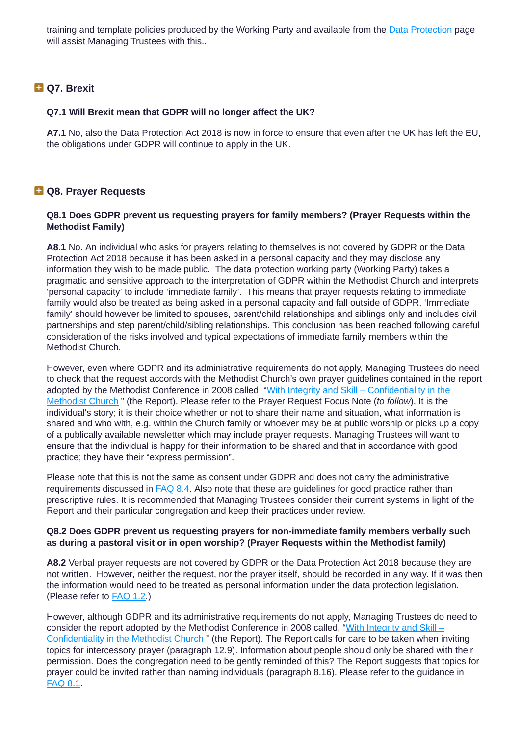training and template policies produced by the Working Party and available from the Data [Protection](https://www.tmcp.org.uk/about/data-protection) page will assist Managing Trustees with this..

# **Q7. Brexit**

#### **Q7.1 Will Brexit mean that GDPR will no longer affect the UK?**

**A7.1** No, also the Data Protection Act 2018 is now in force to ensure that even after the UK has left the EU, the obligations under GDPR will continue to apply in the UK.

# **Q8. Prayer Requests**

#### <span id="page-5-0"></span>**Q8.1 Does GDPR prevent us requesting prayers for family members? (Prayer Requests within the Methodist Family)**

**A8.1** No. An individual who asks for prayers relating to themselves is not covered by GDPR or the Data Protection Act 2018 because it has been asked in a personal capacity and they may disclose any information they wish to be made public. The data protection working party (Working Party) takes a pragmatic and sensitive approach to the interpretation of GDPR within the Methodist Church and interprets 'personal capacity' to include 'immediate family'. This means that prayer requests relating to immediate family would also be treated as being asked in a personal capacity and fall outside of GDPR. 'Immediate family' should however be limited to spouses, parent/child relationships and siblings only and includes civil partnerships and step parent/child/sibling relationships. This conclusion has been reached following careful consideration of the risks involved and typical expectations of immediate family members within the Methodist Church.

However, even where GDPR and its administrative requirements do not apply, Managing Trustees do need to check that the request accords with the Methodist Church's own prayer guidelines contained in the report adopted by the Methodist Conference in 2008 called, "With Integrity and Skill – [Confidentiality](https://www.methodist.org.uk/downloads/Conf08_18_With_Integrity_and_Skill.pdf) in the Methodist Church " (the Report). Please refer to the Prayer Request Focus Note (*to follow*). It is the individual's story; it is their choice whether or not to share their name and situation, what information is shared and who with, e.g. within the Church family or whoever may be at public worship or picks up a copy of a publically available newsletter which may include prayer requests. Managing Trustees will want to ensure that the individual is happy for their information to be shared and that in accordance with good practice; they have their "express permission".

Please note that this is not the same as consent under GDPR and does not carry the administrative requirements discussed in **[FAQ](#page-6-0) 8.4**. Also note that these are guidelines for good practice rather than prescriptive rules. It is recommended that Managing Trustees consider their current systems in light of the Report and their particular congregation and keep their practices under review.

#### **Q8.2 Does GDPR prevent us requesting prayers for non-immediate family members verbally such as during a pastoral visit or in open worship? (Prayer Requests within the Methodist family)**

**A8.2** Verbal prayer requests are not covered by GDPR or the Data Protection Act 2018 because they are not written. However, neither the request, nor the prayer itself, should be recorded in any way. If it was then the information would need to be treated as personal information under the data protection legislation. (Please refer to [FAQ](#page-0-0) 1.2.)

However, although GDPR and its administrative requirements do not apply, Managing Trustees do need to consider the report adopted by the Methodist Conference in 2008 called, "With Integrity and Skill -[Confidentiality](https://www.methodist.org.uk/downloads/Conf08_18_With_Integrity_and_Skill.pdf) in the Methodist Church " (the Report). The Report calls for care to be taken when inviting topics for intercessory prayer (paragraph 12.9). Information about people should only be shared with their permission. Does the congregation need to be gently reminded of this? The Report suggests that topics for prayer could be invited rather than naming individuals (paragraph 8.16). Please refer to the guidance in [FAQ](#page-5-0) 8.1.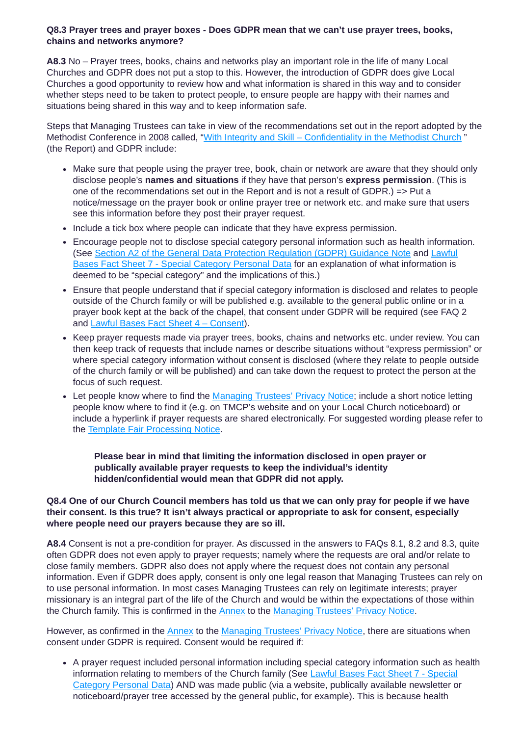#### **Q8.3 Prayer trees and prayer boxes - Does GDPR mean that we can't use prayer trees, books, chains and networks anymore?**

**A8.3** No – Prayer trees, books, chains and networks play an important role in the life of many Local Churches and GDPR does not put a stop to this. However, the introduction of GDPR does give Local Churches a good opportunity to review how and what information is shared in this way and to consider whether steps need to be taken to protect people, to ensure people are happy with their names and situations being shared in this way and to keep information safe.

Steps that Managing Trustees can take in view of the recommendations set out in the report adopted by the Methodist Conference in 2008 called, "With Integrity and Skill – [Confidentiality](https://www.methodist.org.uk/downloads/Conf08_18_With_Integrity_and_Skill.pdf) in the Methodist Church " (the Report) and GDPR include:

- Make sure that people using the prayer tree, book, chain or network are aware that they should only disclose people's **names and situations** if they have that person's **express permission**. (This is one of the recommendations set out in the Report and is not a result of GDPR.) => Put a notice/message on the prayer book or online prayer tree or network etc. and make sure that users see this information before they post their prayer request.
- Include a tick box where people can indicate that they have express permission.
- Encourage people not to disclose special category personal information such as health information. (See Section A2 of the General Data Protection [Regulation](https://www.tmcp.org.uk/about/data-protection/resources/guidenotes/gdpr#a) (GDPR) Guidance Note and Lawful Bases Fact Sheet 7 - Special Category Personal Data for an [explanation](https://www.tmcp.org.uk/about/data-protection/resources/guidenotes/lawful-bases-guidance#fs7) of what information is deemed to be "special category" and the implications of this.)
- Ensure that people understand that if special category information is disclosed and relates to people outside of the Church family or will be published e.g. available to the general public online or in a prayer book kept at the back of the chapel, that consent under GDPR will be required (see FAQ 2 and Lawful Bases Fact Sheet 4 – [Consent\)](https://www.tmcp.org.uk/about/data-protection/resources/guidenotes/lawful-bases-guidance#fs4).
- Keep prayer requests made via prayer trees, books, chains and networks etc. under review. You can then keep track of requests that include names or describe situations without "express permission" or where special category information without consent is disclosed (where they relate to people outside of the church family or will be published) and can take down the request to protect the person at the focus of such request.
- Let people know where to find the [Managing](https://www.tmcp.org.uk/about/data-protection/managing-trustees-privacy-notice) Trustees' Privacy Notice; include a short notice letting people know where to find it (e.g. on TMCP's website and on your Local Church noticeboard) or include a hyperlink if prayer requests are shared electronically. For suggested wording please refer to the Template Fair [Processing](https://www.tmcp.org.uk/about/data-protection/resources/template-clauses/fair-processing-statement) Notice.

**Please bear in mind that limiting the information disclosed in open prayer or publically available prayer requests to keep the individual's identity hidden/confidential would mean that GDPR did not apply.**

### <span id="page-6-0"></span>Q8.4 One of our Church Council members has told us that we can only pray for people if we have **their consent. Is this true? It isn't always practical or appropriate to ask for consent, especially where people need our prayers because they are so ill.**

**A8.4** Consent is not a pre-condition for prayer. As discussed in the answers to FAQs 8.1, 8.2 and 8.3, quite often GDPR does not even apply to prayer requests; namely where the requests are oral and/or relate to close family members. GDPR also does not apply where the request does not contain any personal information. Even if GDPR does apply, consent is only one legal reason that Managing Trustees can rely on to use personal information. In most cases Managing Trustees can rely on legitimate interests; prayer missionary is an integral part of the life of the Church and would be within the expectations of those within the Church family. This is confirmed in the [Annex](https://www.tmcp.org.uk/about/data-protection/managing-trustees-privacy-notice#annex) to the [Managing](https://www.tmcp.org.uk/about/data-protection/managing-trustees-privacy-notice) Trustees' Privacy Notice.

However, as confirmed in the [Annex](https://www.tmcp.org.uk/about/data-protection/managing-trustees-privacy-notice#annex) to the [Managing](https://www.tmcp.org.uk/about/data-protection/managing-trustees-privacy-notice) Trustees' Privacy Notice, there are situations when consent under GDPR is required. Consent would be required if:

A prayer request included personal information including special category information such as health [information](https://www.tmcp.org.uk/about/data-protection/resources/guidenotes/lawful-bases-guidance#fs7) relating to members of the Church family (See Lawful Bases Fact Sheet 7 - Special Category Personal Data) AND was made public (via a website, publically available newsletter or noticeboard/prayer tree accessed by the general public, for example). This is because health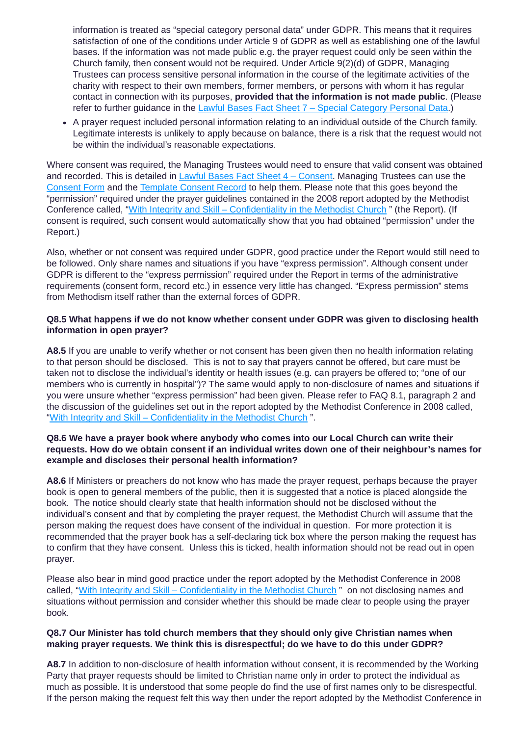information is treated as "special category personal data" under GDPR. This means that it requires satisfaction of one of the conditions under Article 9 of GDPR as well as establishing one of the lawful bases. If the information was not made public e.g. the prayer request could only be seen within the Church family, then consent would not be required. Under Article 9(2)(d) of GDPR, Managing Trustees can process sensitive personal information in the course of the legitimate activities of the charity with respect to their own members, former members, or persons with whom it has regular contact in connection with its purposes, **provided that the information is not made public**. (Please refer to further guidance in the Lawful Bases Fact Sheet 7 – Special [Category](https://www.tmcp.org.uk/about/data-protection/resources/guidenotes/lawful-bases-guidance#fs7) Personal Data.)

A prayer request included personal information relating to an individual outside of the Church family. Legitimate interests is unlikely to apply because on balance, there is a risk that the request would not be within the individual's reasonable expectations.

Where consent was required, the Managing Trustees would need to ensure that valid consent was obtained and recorded. This is detailed in Lawful Bases Fact Sheet 4 – [Consent](https://www.tmcp.org.uk/about/data-protection/resources/guidenotes/lawful-bases-guidance#fs4). Managing Trustees can use the [Consent](https://www.tmcp.org.uk/about/data-protection/resources/standard-documents-and-forms/consent-form) Form and the [Template](https://www.tmcp.org.uk/about/data-protection/resources/standard-documents-and-forms/consent-record) Consent Record to help them. Please note that this goes beyond the "permission" required under the prayer guidelines contained in the 2008 report adopted by the Methodist Conference called, "With Integrity and Skill – [Confidentiality](https://www.methodist.org.uk/downloads/Conf08_18_With_Integrity_and_Skill.pdf) in the Methodist Church " (the Report). (If consent is required, such consent would automatically show that you had obtained "permission" under the Report.)

Also, whether or not consent was required under GDPR, good practice under the Report would still need to be followed. Only share names and situations if you have "express permission". Although consent under GDPR is different to the "express permission" required under the Report in terms of the administrative requirements (consent form, record etc.) in essence very little has changed. "Express permission" stems from Methodism itself rather than the external forces of GDPR.

#### **Q8.5 What happens if we do not know whether consent under GDPR was given to disclosing health information in open prayer?**

**A8.5** If you are unable to verify whether or not consent has been given then no health information relating to that person should be disclosed. This is not to say that prayers cannot be offered, but care must be taken not to disclose the individual's identity or health issues (e.g. can prayers be offered to; "one of our members who is currently in hospital")? The same would apply to non-disclosure of names and situations if you were unsure whether "express permission" had been given. Please refer to FAQ 8.1, paragraph 2 and the discussion of the guidelines set out in the report adopted by the Methodist Conference in 2008 called, "With Integrity and Skill – [Confidentiality](https://www.methodist.org.uk/downloads/Conf08_18_With_Integrity_and_Skill.pdf) in the Methodist Church".

#### **Q8.6 We have a prayer book where anybody who comes into our Local Church can write their requests. How do we obtain consent if an individual writes down one of their neighbour's names for example and discloses their personal health information?**

**A8.6** If Ministers or preachers do not know who has made the prayer request, perhaps because the prayer book is open to general members of the public, then it is suggested that a notice is placed alongside the book. The notice should clearly state that health information should not be disclosed without the individual's consent and that by completing the prayer request, the Methodist Church will assume that the person making the request does have consent of the individual in question. For more protection it is recommended that the prayer book has a self-declaring tick box where the person making the request has to confirm that they have consent. Unless this is ticked, health information should not be read out in open prayer.

Please also bear in mind good practice under the report adopted by the Methodist Conference in 2008 called, "With Integrity and Skill – [Confidentiality](https://www.methodist.org.uk/downloads/Conf08_18_With_Integrity_and_Skill.pdf) in the Methodist Church " on not disclosing names and situations without permission and consider whether this should be made clear to people using the prayer book.

#### **Q8.7 Our Minister has told church members that they should only give Christian names when making prayer requests. We think this is disrespectful; do we have to do this under GDPR?**

**A8.7** In addition to non-disclosure of health information without consent, it is recommended by the Working Party that prayer requests should be limited to Christian name only in order to protect the individual as much as possible. It is understood that some people do find the use of first names only to be disrespectful. If the person making the request felt this way then under the report adopted by the Methodist Conference in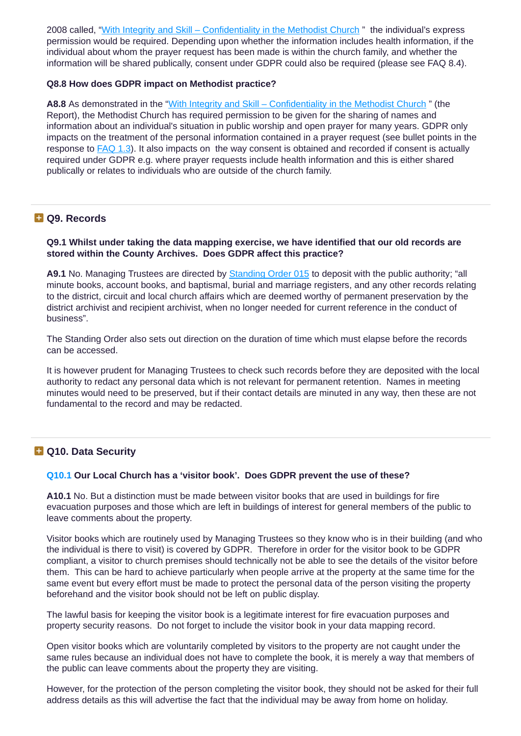2008 called, "With Integrity and Skill – [Confidentiality](https://www.methodist.org.uk/downloads/Conf08_18_With_Integrity_and_Skill.pdf) in the Methodist Church " the individual's express permission would be required. Depending upon whether the information includes health information, if the individual about whom the prayer request has been made is within the church family, and whether the information will be shared publically, consent under GDPR could also be required (please see FAQ 8.4).

#### **Q8.8 How does GDPR impact on Methodist practice?**

A8.8 As demonstrated in the "With Integrity and Skill – [Confidentiality](https://www.methodist.org.uk/downloads/Conf08_18_With_Integrity_and_Skill.pdf) in the Methodist Church " (the Report), the Methodist Church has required permission to be given for the sharing of names and information about an individual's situation in public worship and open prayer for many years. GDPR only impacts on the treatment of the personal information contained in a prayer request (see bullet points in the response to FAQ 1.3). It also impacts on the way consent is obtained and recorded if consent is actually required under GDPR e.g. where prayer requests include health information and this is either shared publically or relates to individuals who are outside of the church family.

## **Q9. Records**

#### **Q9.1 Whilst under taking the data mapping exercise, we have identified that our old records are stored within the County Archives. Does GDPR affect this practice?**

**A9.1** No. Managing Trustees are directed by [Standing](https://www.methodist.org.uk/for-ministers-and-office-holders/governance/cpd/) Order 015 to deposit with the public authority; "all minute books, account books, and baptismal, burial and marriage registers, and any other records relating to the district, circuit and local church affairs which are deemed worthy of permanent preservation by the district archivist and recipient archivist, when no longer needed for current reference in the conduct of business".

The Standing Order also sets out direction on the duration of time which must elapse before the records can be accessed.

It is however prudent for Managing Trustees to check such records before they are deposited with the local authority to redact any personal data which is not relevant for permanent retention. Names in meeting minutes would need to be preserved, but if their contact details are minuted in any way, then these are not fundamental to the record and may be redacted.

# **Q10. Data Security**

## **Q10.1 Our Local Church has a 'visitor book'. Does GDPR prevent the use of these?**

**A10.1** No. But a distinction must be made between visitor books that are used in buildings for fire evacuation purposes and those which are left in buildings of interest for general members of the public to leave comments about the property.

Visitor books which are routinely used by Managing Trustees so they know who is in their building (and who the individual is there to visit) is covered by GDPR. Therefore in order for the visitor book to be GDPR compliant, a visitor to church premises should technically not be able to see the details of the visitor before them. This can be hard to achieve particularly when people arrive at the property at the same time for the same event but every effort must be made to protect the personal data of the person visiting the property beforehand and the visitor book should not be left on public display.

The lawful basis for keeping the visitor book is a legitimate interest for fire evacuation purposes and property security reasons. Do not forget to include the visitor book in your data mapping record.

Open visitor books which are voluntarily completed by visitors to the property are not caught under the same rules because an individual does not have to complete the book, it is merely a way that members of the public can leave comments about the property they are visiting.

However, for the protection of the person completing the visitor book, they should not be asked for their full address details as this will advertise the fact that the individual may be away from home on holiday.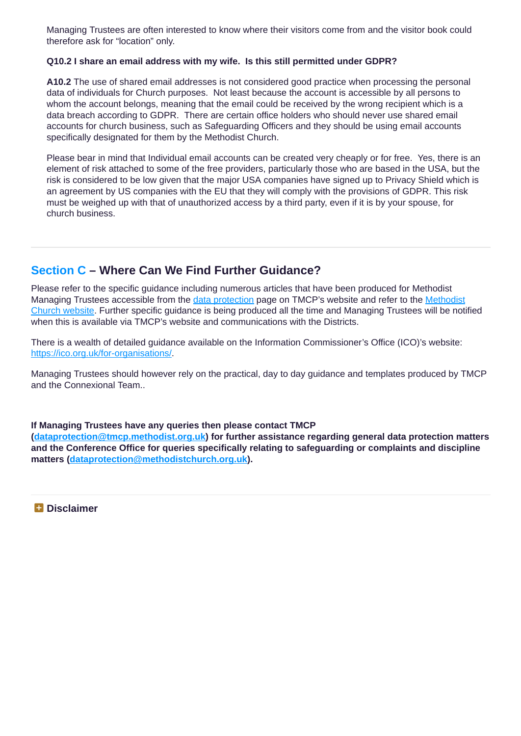Managing Trustees are often interested to know where their visitors come from and the visitor book could therefore ask for "location" only.

#### **Q10.2 I share an email address with my wife. Is this still permitted under GDPR?**

**A10.2** The use of shared email addresses is not considered good practice when processing the personal data of individuals for Church purposes. Not least because the account is accessible by all persons to whom the account belongs, meaning that the email could be received by the wrong recipient which is a data breach according to GDPR. There are certain office holders who should never use shared email accounts for church business, such as Safeguarding Officers and they should be using email accounts specifically designated for them by the Methodist Church.

Please bear in mind that Individual email accounts can be created very cheaply or for free. Yes, there is an element of risk attached to some of the free providers, particularly those who are based in the USA, but the risk is considered to be low given that the major USA companies have signed up to Privacy Shield which is an agreement by US companies with the EU that they will comply with the provisions of GDPR. This risk must be weighed up with that of unauthorized access by a third party, even if it is by your spouse, for church business.

# **Section C – Where Can We Find Further Guidance?**

Please refer to the specific guidance including numerous articles that have been produced for Methodist Managing Trustees [accessible](http://www.methodist.org.uk/) from the data [protection](https://www.tmcp.org.uk/about/data-protection) page on TMCP's website and refer to the Methodist Church website. Further specific guidance is being produced all the time and Managing Trustees will be notified when this is available via TMCP's website and communications with the Districts.

There is a wealth of detailed guidance available on the Information Commissioner's Office (ICO)'s website: <https://ico.org.uk/for-organisations/>.

Managing Trustees should however rely on the practical, day to day guidance and templates produced by TMCP and the Connexional Team..

#### **If Managing Trustees have any queries then please contact TMCP**

**([dataprotection@tmcp.methodist.org.uk\)](mailto:dataprotection@tmcp.methodist.org.uk) for further assistance regarding general data protection matters and the Conference Office for queries specifically relating to safeguarding or complaints and discipline matters ([dataprotection@methodistchurch.org.uk](mailto:dataprotection@methodistchurch.org.uk)).**

**Disclaimer**